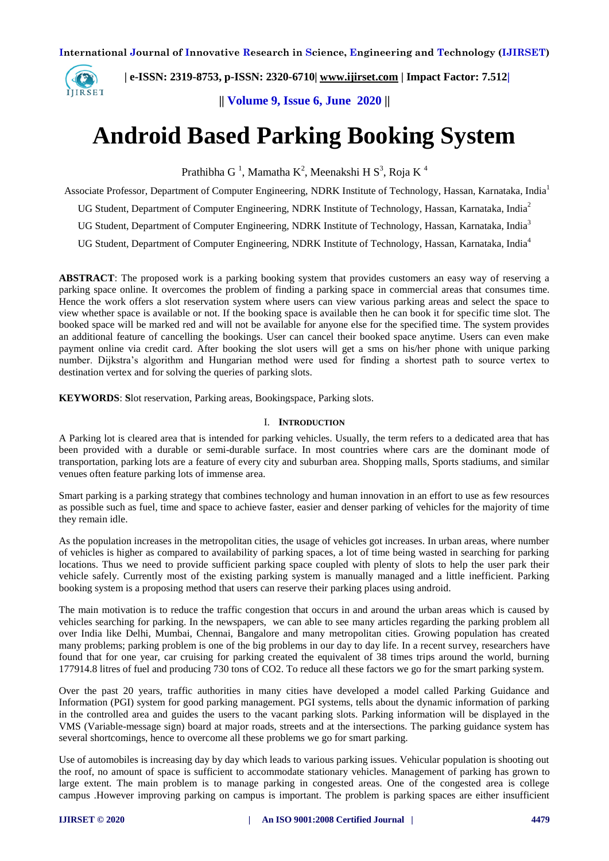

 **| e-ISSN: 2319-8753, p-ISSN: 2320-6710| [www.ijirset.com](http://www.ijirset.com/) | Impact Factor: 7.512|**

**|| Volume 9, Issue 6, June 2020 ||** 

# **Android Based Parking Booking System**

Prathibha G<sup>-1</sup>, Mamatha K<sup>2</sup>, Meenakshi H S<sup>3</sup>, Roja K<sup>-4</sup>

Associate Professor, Department of Computer Engineering, NDRK Institute of Technology, Hassan, Karnataka, India<sup>1</sup>

UG Student, Department of Computer Engineering, NDRK Institute of Technology, Hassan, Karnataka, India<sup>2</sup>

UG Student, Department of Computer Engineering, NDRK Institute of Technology, Hassan, Karnataka, India<sup>3</sup>

UG Student, Department of Computer Engineering, NDRK Institute of Technology, Hassan, Karnataka, India<sup>4</sup>

**ABSTRACT**: The proposed work is a parking booking system that provides customers an easy way of reserving a parking space online. It overcomes the problem of finding a parking space in commercial areas that consumes time. Hence the work offers a slot reservation system where users can view various parking areas and select the space to view whether space is available or not. If the booking space is available then he can book it for specific time slot. The booked space will be marked red and will not be available for anyone else for the specified time. The system provides an additional feature of cancelling the bookings. User can cancel their booked space anytime. Users can even make payment online via credit card. After booking the slot users will get a sms on his/her phone with unique parking number. Dijkstra's algorithm and Hungarian method were used for finding a shortest path to source vertex to destination vertex and for solving the queries of parking slots.

**KEYWORDS**: **S**lot reservation, Parking areas, Bookingspace, Parking slots.

#### I. **INTRODUCTION**

A Parking lot is cleared area that is intended for parking vehicles. Usually, the term refers to a dedicated area that has been provided with a durable or semi-durable surface. In most countries where cars are the dominant mode of transportation, parking lots are a feature of every city and suburban area. Shopping malls, Sports stadiums, and similar venues often feature parking lots of immense area.

Smart parking is a parking strategy that combines technology and human innovation in an effort to use as few resources as possible such as fuel, time and space to achieve faster, easier and denser parking of vehicles for the majority of time they remain idle.

As the population increases in the metropolitan cities, the usage of vehicles got increases. In urban areas, where number of vehicles is higher as compared to availability of parking spaces, a lot of time being wasted in searching for parking locations. Thus we need to provide sufficient parking space coupled with plenty of slots to help the user park their vehicle safely. Currently most of the existing parking system is manually managed and a little inefficient. Parking booking system is a proposing method that users can reserve their parking places using android.

The main motivation is to reduce the traffic congestion that occurs in and around the urban areas which is caused by vehicles searching for parking. In the newspapers, we can able to see many articles regarding the parking problem all over India like Delhi, Mumbai, Chennai, Bangalore and many metropolitan cities. Growing population has created many problems; parking problem is one of the big problems in our day to day life. In a recent survey, researchers have found that for one year, car cruising for parking created the equivalent of 38 times trips around the world, burning 177914.8 litres of fuel and producing 730 tons of CO2. To reduce all these factors we go for the smart parking system.

Over the past 20 years, traffic authorities in many cities have developed a model called Parking Guidance and Information (PGI) system for good parking management. PGI systems, tells about the dynamic information of parking in the controlled area and guides the users to the vacant parking slots. Parking information will be displayed in the VMS (Variable-message sign) board at major roads, streets and at the intersections. The parking guidance system has several shortcomings, hence to overcome all these problems we go for smart parking.

Use of automobiles is increasing day by day which leads to various parking issues. Vehicular population is shooting out the roof, no amount of space is sufficient to accommodate stationary vehicles. Management of parking has grown to large extent. The main problem is to manage parking in congested areas. One of the congested area is college campus .However improving parking on campus is important. The problem is parking spaces are either insufficient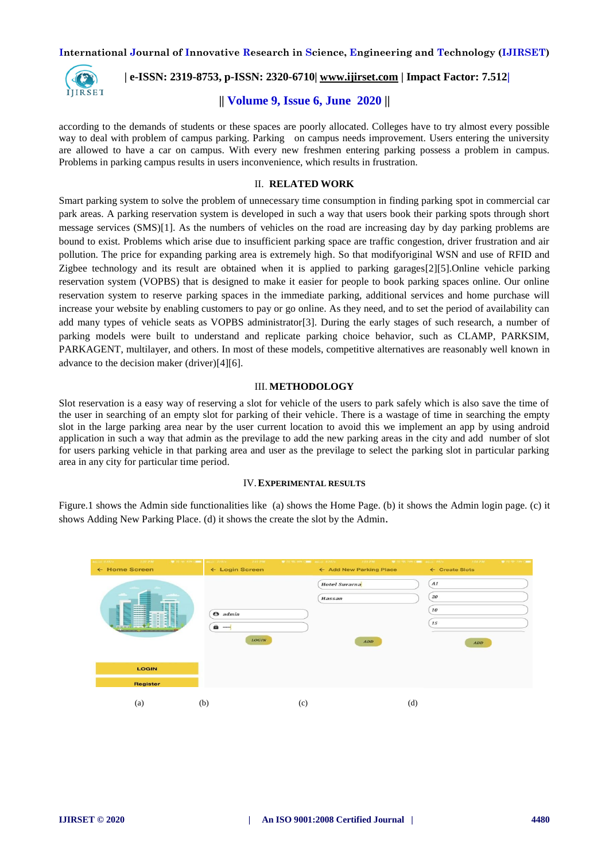

### **| e-ISSN: 2319-8753, p-ISSN: 2320-6710| [www.ijirset.com](http://www.ijirset.com/) | Impact Factor: 7.512|**

## **|| Volume 9, Issue 6, June 2020 ||**

according to the demands of students or these spaces are poorly allocated. Colleges have to try almost every possible way to deal with problem of campus parking. Parking on campus needs improvement. Users entering the university are allowed to have a car on campus. With every new freshmen entering parking possess a problem in campus. Problems in parking campus results in users inconvenience, which results in frustration.

#### II. **RELATED WORK**

Smart parking system to solve the problem of unnecessary time consumption in finding parking spot in commercial car park areas. A parking reservation system is developed in such a way that users book their parking spots through short message services (SMS)[1]. As the numbers of vehicles on the road are increasing day by day parking problems are bound to exist. Problems which arise due to insufficient parking space are traffic congestion, driver frustration and air pollution. The price for expanding parking area is extremely high. So that modifyoriginal WSN and use of RFID and Zigbee technology and its result are obtained when it is applied to parking garages[2][5].Online vehicle parking reservation system (VOPBS) that is designed to make it easier for people to book parking spaces online. Our online reservation system to reserve parking spaces in the immediate parking, additional services and home purchase will increase your website by enabling customers to pay or go online. As they need, and to set the period of availability can add many types of vehicle seats as VOPBS administrator[3]. During the early stages of such research, a number of parking models were built to understand and replicate parking choice behavior, such as CLAMP, PARKSIM, PARKAGENT, multilayer, and others. In most of these models, competitive alternatives are reasonably well known in advance to the decision maker (driver)[4][6].

#### III. **METHODOLOGY**

Slot reservation is a easy way of reserving a slot for vehicle of the users to park safely which is also save the time of the user in searching of an empty slot for parking of their vehicle. There is a wastage of time in searching the empty slot in the large parking area near by the user current location to avoid this we implement an app by using android application in such a way that admin as the previlage to add the new parking areas in the city and add number of slot for users parking vehicle in that parking area and user as the previlage to select the parking slot in particular parking area in any city for particular time period.

#### IV.**EXPERIMENTAL RESULTS**

Figure.1 shows the Admin side functionalities like (a) shows the Home Page. (b) it shows the Admin login page. (c) it shows Adding New Parking Place. (d) it shows the create the slot by the Admin.

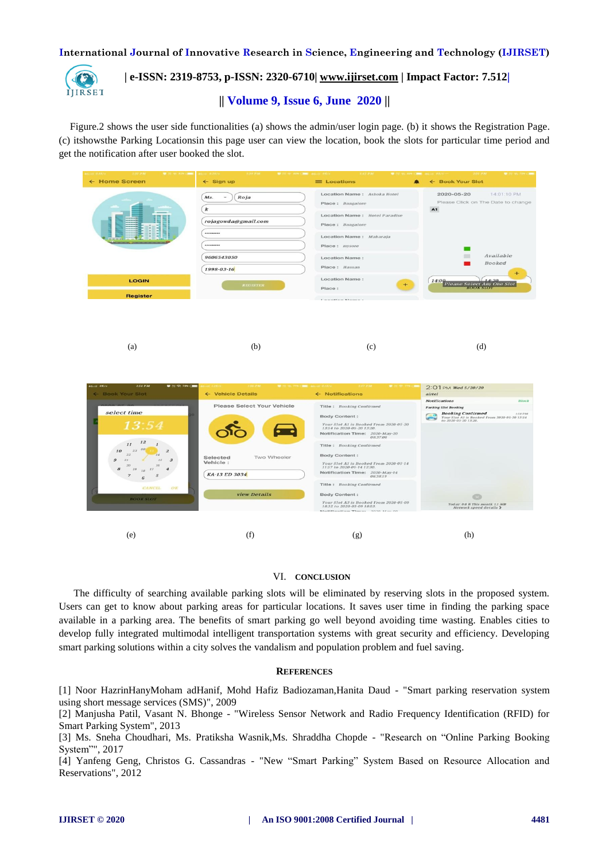

# **| e-ISSN: 2319-8753, p-ISSN: 2320-6710| [www.ijirset.com](http://www.ijirset.com/) | Impact Factor: 7.512|**

# **|| Volume 9, Issue 6, June 2020 ||**

Figure.2 shows the user side functionalities (a) shows the admin/user login page. (b) it shows the Registration Page. (c) itshowsthe Parking Locationsin this page user can view the location, book the slots for particular time period and get the notification after user booked the slot.

| ← Home Screen                                                                                                                    | $\leftarrow$ Sign up                                                                            | $\equiv$ Locations<br>⋒                                                                                                                                                                                                                                                                                                                                                      | ← Book Your Slot                                                                                                                                     |
|----------------------------------------------------------------------------------------------------------------------------------|-------------------------------------------------------------------------------------------------|------------------------------------------------------------------------------------------------------------------------------------------------------------------------------------------------------------------------------------------------------------------------------------------------------------------------------------------------------------------------------|------------------------------------------------------------------------------------------------------------------------------------------------------|
|                                                                                                                                  | Roja<br>Ms.<br>٠<br>$\boldsymbol{k}$<br>rojagowda@gmail.com<br><br><br>9606543050<br>1998-03-16 | Location Name: Ashoka Hotel<br>Place: Bangalore<br>Location Name: Hotel Paradise<br>Place: Bangalore<br>Location Name: Maharaja<br>Place: mysore<br><b>Location Name:</b><br>Place: Hassan                                                                                                                                                                                   | 2020-05-20<br>14:01:10 PM<br>Please Click on The Date to change<br>A1<br>Available<br><b>Booked</b>                                                  |
| LOGIN                                                                                                                            |                                                                                                 | <b>Location Name:</b>                                                                                                                                                                                                                                                                                                                                                        | 14:00 Please Select Any One Slot                                                                                                                     |
| <b>Register</b>                                                                                                                  | <b>REGISTER</b>                                                                                 | Place:<br>Longham More                                                                                                                                                                                                                                                                                                                                                       | <b>BOOK SLOT</b>                                                                                                                                     |
| (a)                                                                                                                              | (b)                                                                                             | (c)                                                                                                                                                                                                                                                                                                                                                                          | (d)                                                                                                                                                  |
| <b>1:54 PM</b><br><b>4Gill OK/s</b><br>$\bullet$ 70 $\in$ 78% (                                                                  |                                                                                                 |                                                                                                                                                                                                                                                                                                                                                                              | 2:01 PM Wed 5/20/20                                                                                                                                  |
| ← Book Your Slot                                                                                                                 | ← Vehicle Details                                                                               | $\leftarrow$ Notifications                                                                                                                                                                                                                                                                                                                                                   | airtel<br><b>Notifications</b><br><b>Block</b>                                                                                                       |
| select time<br>13.54<br>12<br>11<br>10<br>23<br>22<br>21<br>$\mathcal{R}$<br><b>CANCEL</b><br>O <sub>K</sub><br><b>BOOK SLOT</b> | Please Select Your Vehicle<br>Two Wheeler<br>Selected<br>Vehicle:<br>KA-13 ED 3034              | Title: Booking Confirmed<br><b>Body Content:</b><br>Your Slot A1 is Booked From 2020-05-20<br>13:54 to 2020-05-20 13:20.<br>Notification Time: 2020-May-20<br>08:37:06<br>Title: Booking Confirmed<br><b>Body Content:</b><br>Your Slot A1 is Booked From 2020-05-14<br>11:57 to 2020-05-14 12:30.<br>Notification Time: 2020-May-14<br>06:38:19<br>Title: Booking Confirmed | <b>Parking Slot Booking</b><br><b>Booking Confirmed</b> 1:58 PM<br>Your Slot A1 is Booked From 2020-05-20 13:54<br>to 2020-05-20 13:20.<br>$1:58$ PM |
|                                                                                                                                  | <b>view Details</b>                                                                             | <b>Body Content:</b>                                                                                                                                                                                                                                                                                                                                                         |                                                                                                                                                      |
|                                                                                                                                  |                                                                                                 | Your Slot A3 is Booked From 2020-05-09<br>18:32 to 2020-05-09 18:03.<br>Motification Time: 2020 May 00                                                                                                                                                                                                                                                                       | Today: 0.0 B This month: 1.1 MB<br>Network speed details >                                                                                           |
| (e)                                                                                                                              | (f)                                                                                             | (g)                                                                                                                                                                                                                                                                                                                                                                          | (h)                                                                                                                                                  |

#### VI. **CONCLUSION**

The difficulty of searching available parking slots will be eliminated by reserving slots in the proposed system. Users can get to know about parking areas for particular locations. It saves user time in finding the parking space available in a parking area. The benefits of smart parking go well beyond avoiding time wasting. Enables cities to develop fully integrated multimodal intelligent transportation systems with great security and efficiency. Developing smart parking solutions within a city solves the vandalism and population problem and fuel saving.

#### **REFERENCES**

[1] Noor HazrinHanyMoham adHanif, Mohd Hafiz Badiozaman,Hanita Daud - "Smart parking reservation system using short message services (SMS)", 2009

[2] Manjusha Patil, Vasant N. Bhonge - "Wireless Sensor Network and Radio Frequency Identification (RFID) for Smart Parking System", 2013

[3] Ms. Sneha Choudhari, Ms. Pratiksha Wasnik,Ms. Shraddha Chopde - "Research on "Online Parking Booking System"", 2017

[4] Yanfeng Geng, Christos G. Cassandras - "New "Smart Parking" System Based on Resource Allocation and Reservations", 2012